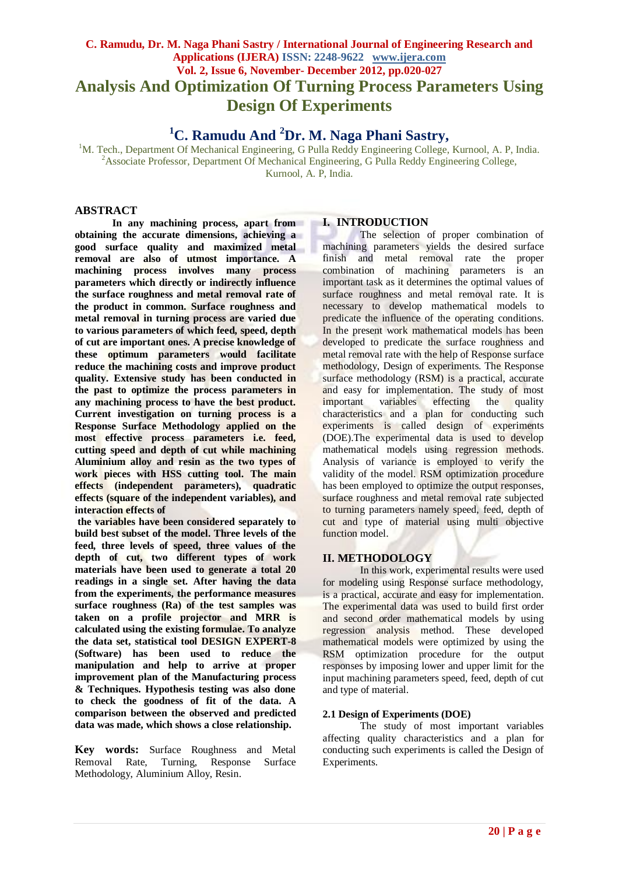## **C. Ramudu, Dr. M. Naga Phani Sastry / International Journal of Engineering Research and Applications (IJERA) ISSN: 2248-9622 www.ijera.com Vol. 2, Issue 6, November- December 2012, pp.020-027 Analysis And Optimization Of Turning Process Parameters Using Design Of Experiments**

# **<sup>1</sup>C. Ramudu And <sup>2</sup>Dr. M. Naga Phani Sastry,**

<sup>1</sup>M. Tech., Department Of Mechanical Engineering, G Pulla Reddy Engineering College, Kurnool, A. P, India. <sup>2</sup> Associate Professor, Department Of Mechanical Engineering, G Pulla Reddy Engineering College, Kurnool, A. P, India*.* 

#### **ABSTRACT**

**In any machining process, apart from obtaining the accurate dimensions, achieving a good surface quality and maximized metal removal are also of utmost importance. A machining process involves many process parameters which directly or indirectly influence the surface roughness and metal removal rate of the product in common. Surface roughness and metal removal in turning process are varied due to various parameters of which feed, speed, depth of cut are important ones. A precise knowledge of these optimum parameters would facilitate reduce the machining costs and improve product quality. Extensive study has been conducted in the past to optimize the process parameters in any machining process to have the best product. Current investigation on turning process is a Response Surface Methodology applied on the most effective process parameters i.e. feed, cutting speed and depth of cut while machining Aluminium alloy and resin as the two types of work pieces with HSS cutting tool. The main effects (independent parameters), quadratic effects (square of the independent variables), and interaction effects of**

**the variables have been considered separately to build best subset of the model. Three levels of the feed, three levels of speed, three values of the depth of cut, two different types of work materials have been used to generate a total 20 readings in a single set. After having the data from the experiments, the performance measures surface roughness (Ra) of the test samples was taken on a profile projector and MRR is calculated using the existing formulae. To analyze the data set, statistical tool DESIGN EXPERT-8 (Software) has been used to reduce the manipulation and help to arrive at proper improvement plan of the Manufacturing process & Techniques. Hypothesis testing was also done to check the goodness of fit of the data. A comparison between the observed and predicted data was made, which shows a close relationship.**

**Key words:** Surface Roughness and Metal Removal Rate, Turning, Response Surface Methodology, Aluminium Alloy, Resin.

#### **I. INTRODUCTION**

The selection of proper combination of machining parameters yields the desired surface finish and metal removal rate the proper combination of machining parameters is an important task as it determines the optimal values of surface roughness and metal removal rate. It is necessary to develop mathematical models to predicate the influence of the operating conditions. In the present work mathematical models has been developed to predicate the surface roughness and metal removal rate with the help of Response surface methodology, Design of experiments. The Response surface methodology (RSM) is a practical, accurate and easy for implementation. The study of most important variables effecting the quality characteristics and a plan for conducting such experiments is called design of experiments (DOE).The experimental data is used to develop mathematical models using regression methods. Analysis of variance is employed to verify the validity of the model. RSM optimization procedure has been employed to optimize the output responses, surface roughness and metal removal rate subjected to turning parameters namely speed, feed, depth of cut and type of material using multi objective function model.

#### **II. METHODOLOGY**

In this work, experimental results were used for modeling using Response surface methodology, is a practical, accurate and easy for implementation. The experimental data was used to build first order and second order mathematical models by using regression analysis method. These developed mathematical models were optimized by using the RSM optimization procedure for the output responses by imposing lower and upper limit for the input machining parameters speed, feed, depth of cut and type of material.

#### **2.1 Design of Experiments (DOE)**

The study of most important variables affecting quality characteristics and a plan for conducting such experiments is called the Design of Experiments.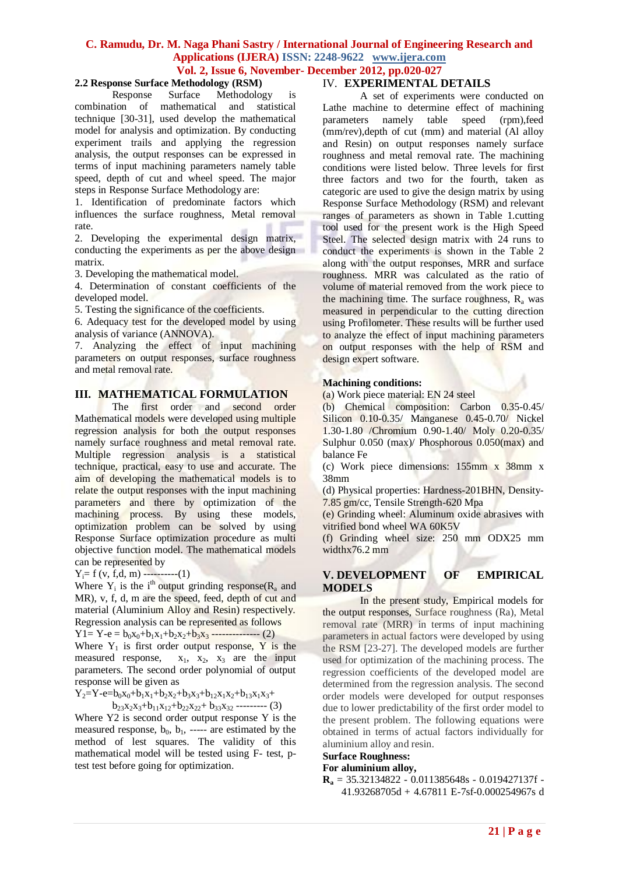# **2.2 Response Surface Methodology (RSM)**

Response Surface Methodology is combination of mathematical and statistical technique [30-31], used develop the mathematical model for analysis and optimization. By conducting experiment trails and applying the regression analysis, the output responses can be expressed in terms of input machining parameters namely table speed, depth of cut and wheel speed. The major steps in Response Surface Methodology are:

1. Identification of predominate factors which influences the surface roughness, Metal removal rate.

2. Developing the experimental design matrix, conducting the experiments as per the above design matrix.

3. Developing the mathematical model.

4. Determination of constant coefficients of the developed model.

5. Testing the significance of the coefficients.

6. Adequacy test for the developed model by using analysis of variance (ANNOVA).

7. Analyzing the effect of input machining parameters on output responses, surface roughness and metal removal rate.

#### **III. MATHEMATICAL FORMULATION**

The first order and second order Mathematical models were developed using multiple regression analysis for both the output responses namely surface roughness and metal removal rate. Multiple regression analysis is a statistical technique, practical, easy to use and accurate. The aim of developing the mathematical models is to relate the output responses with the input machining parameters and there by optimization of the machining process. By using these models, optimization problem can be solved by using Response Surface optimization procedure as multi objective function model. The mathematical models can be represented by

 $Y_i = f (v, f, d, m)$  ----------(1)

Where  $Y_i$  is the i<sup>th</sup> output grinding response( $R_a$  and MR), v, f, d, m are the speed, feed, depth of cut and material (Aluminium Alloy and Resin) respectively. Regression analysis can be represented as follows

 $Y1 = Y - e = b_0x_0 + b_1x_1 + b_2x_2 + b_3x_3 - \cdots$  (2) Where  $Y_1$  is first order output response, Y is the measured response,  $x_1$ ,  $x_2$ ,  $x_3$  are the input parameters. The second order polynomial of output response will be given as

 $Y_2 = Y - e = b_0x_0 + b_1x_1 + b_2x_2 + b_3x_3 + b_1x_1x_2 + b_1x_1x_3 +$  $b_{23}x_2x_3+b_{11}x_{12}+b_{22}x_{22}+b_{33}x_{32}$  --------- (3)

Where Y2 is second order output response Y is the measured response,  $b_0$ ,  $b_1$ , ----- are estimated by the method of lest squares. The validity of this mathematical model will be tested using F- test, ptest test before going for optimization.

#### IV. **EXPERIMENTAL DETAILS**

A set of experiments were conducted on Lathe machine to determine effect of machining parameters namely table speed (rpm),feed (mm/rev),depth of cut (mm) and material (Al alloy and Resin) on output responses namely surface roughness and metal removal rate. The machining conditions were listed below. Three levels for first three factors and two for the fourth, taken as categoric are used to give the design matrix by using Response Surface Methodology (RSM) and relevant ranges of parameters as shown in Table 1.cutting tool used for the present work is the High Speed Steel. The selected design matrix with 24 runs to conduct the experiments is shown in the Table 2 along with the output responses, MRR and surface roughness. MRR was calculated as the ratio of volume of material removed from the work piece to the machining time. The surface roughness,  $R_a$  was measured in perpendicular to the cutting direction using Profilometer. These results will be further used to analyze the effect of input machining parameters on output responses with the help of RSM and design expert software.

#### **Machining conditions:**

(a) Work piece material: EN 24 steel

(b) Chemical composition: Carbon 0.35-0.45/ Silicon 0.10-0.35/ Manganese 0.45-0.70/ Nickel 1.30-1.80 /Chromium 0.90-1.40/ Moly 0.20-0.35/ Sulphur 0.050 (max)/ Phosphorous 0.050(max) and balance Fe

(c) Work piece dimensions: 155mm x 38mm x 38mm

(d) Physical properties: Hardness-201BHN, Density-7.85 gm/cc, Tensile Strength-620 Mpa

(e) Grinding wheel: Aluminum oxide abrasives with vitrified bond wheel WA 60K5V

(f) Grinding wheel size: 250 mm ODX25 mm widthx76.2 mm

#### **V. DEVELOPMENT OF EMPIRICAL MODELS**

In the present study, Empirical models for the output responses, Surface roughness (Ra), Metal removal rate (MRR) in terms of input machining parameters in actual factors were developed by using the RSM [23-27]. The developed models are further used for optimization of the machining process. The regression coefficients of the developed model are determined from the regression analysis. The second order models were developed for output responses due to lower predictability of the first order model to the present problem. The following equations were obtained in terms of actual factors individually for aluminium alloy and resin.

### **Surface Roughness:**

#### **For aluminium alloy,**

 $\mathbf{R}_a = 35.32134822 - 0.011385648s - 0.019427137f -$ 41.93268705d + 4.67811 E-7sf-0.000254967s d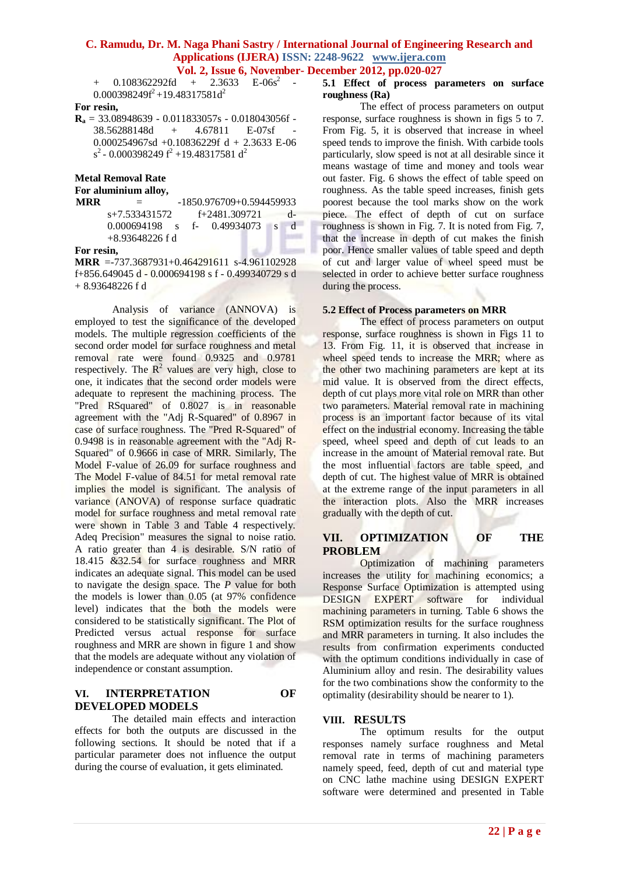+  $0.108362292fd$  +  $2.3633$  E- $06s^2$  - $0.000398249f^2 + 19.48317581d^2$ 

#### **For resin,**

**R<sup>a</sup>** = 33.08948639 - 0.011833057s - 0.018043056f - 38.56288148d + 4.67811 E-07sf - 0.000254967sd +0.10836229f d + 2.3633 E-06  $s^2$  - 0.000398249  $f^2$  +19.48317581 d<sup>2</sup>

**Metal Removal Rate**

#### **For aluminium alloy,**

| MRR | $=$               |  | $-1850.976709 + 0.594459933$ |                |   |
|-----|-------------------|--|------------------------------|----------------|---|
|     | s+7.533431572     |  | $f+2481.309721$ d-           |                |   |
|     | $0.000694198$ s   |  | f- 0.49934073                | $\overline{S}$ | d |
|     | $+8.93648226 f d$ |  |                              |                |   |
|     |                   |  |                              |                |   |

#### **For resin,**

**MRR** =-737.3687931+0.464291611 s-4.961102928 f+856.649045 d - 0.000694198 s f - 0.499340729 s d + 8.93648226 f d

Analysis of variance (ANNOVA) is employed to test the significance of the developed models. The multiple regression coefficients of the second order model for surface roughness and metal removal rate were found 0.9325 and 0.9781 respectively. The  $R^2$  values are very high, close to one, it indicates that the second order models were adequate to represent the machining process. The "Pred RSquared" of 0.8027 is in reasonable agreement with the "Adj R-Squared" of 0.8967 in case of surface roughness. The "Pred R-Squared" of 0.9498 is in reasonable agreement with the "Adj R-Squared" of 0.9666 in case of MRR. Similarly, The Model F-value of 26.09 for surface roughness and The Model F-value of 84.51 for metal removal rate implies the model is significant. The analysis of variance (ANOVA) of response surface quadratic model for surface roughness and metal removal rate were shown in Table 3 and Table 4 respectively. Adeq Precision" measures the signal to noise ratio. A ratio greater than 4 is desirable. S/N ratio of 18.415 &32.54 for surface roughness and MRR indicates an adequate signal. This model can be used to navigate the design space. The *P* value for both the models is lower than 0.05 (at 97% confidence level) indicates that the both the models were considered to be statistically significant. The Plot of Predicted versus actual response for surface roughness and MRR are shown in figure 1 and show that the models are adequate without any violation of independence or constant assumption.

#### **VI. INTERPRETATION OF DEVELOPED MODELS**

The detailed main effects and interaction effects for both the outputs are discussed in the following sections. It should be noted that if a particular parameter does not influence the output during the course of evaluation, it gets eliminated.

#### **5.1 Effect of process parameters on surface roughness (Ra)**

The effect of process parameters on output response, surface roughness is shown in figs 5 to 7. From Fig. 5, it is observed that increase in wheel speed tends to improve the finish. With carbide tools particularly, slow speed is not at all desirable since it means wastage of time and money and tools wear out faster. Fig. 6 shows the effect of table speed on roughness. As the table speed increases, finish gets poorest because the tool marks show on the work piece. The effect of depth of cut on surface roughness is shown in Fig. 7. It is noted from Fig. 7, that the increase in depth of cut makes the finish poor. Hence smaller values of table speed and depth of cut and larger value of wheel speed must be selected in order to achieve better surface roughness during the process.

#### **5.2 Effect of Process parameters on MRR**

The effect of process parameters on output response, surface roughness is shown in Figs 11 to 13. From Fig. 11, it is observed that increase in wheel speed tends to increase the MRR; where as the other two machining parameters are kept at its mid value. It is observed from the direct effects, depth of cut plays more vital role on MRR than other two parameters. Material removal rate in machining process is an important factor because of its vital effect on the industrial economy. Increasing the table speed, wheel speed and depth of cut leads to an increase in the amount of Material removal rate. But the most influential factors are table speed, and depth of cut. The highest value of MRR is obtained at the extreme range of the input parameters in all the interaction plots. Also the MRR increases gradually with the depth of cut.

#### **VII. OPTIMIZATION OF THE PROBLEM**

Optimization of machining parameters increases the utility for machining economics; a Response Surface Optimization is attempted using DESIGN EXPERT software for individual machining parameters in turning. Table 6 shows the RSM optimization results for the surface roughness and MRR parameters in turning. It also includes the results from confirmation experiments conducted with the optimum conditions individually in case of Aluminium alloy and resin. The desirability values for the two combinations show the conformity to the optimality (desirability should be nearer to 1).

#### **VIII. RESULTS**

The optimum results for the output responses namely surface roughness and Metal removal rate in terms of machining parameters namely speed, feed, depth of cut and material type on CNC lathe machine using DESIGN EXPERT software were determined and presented in Table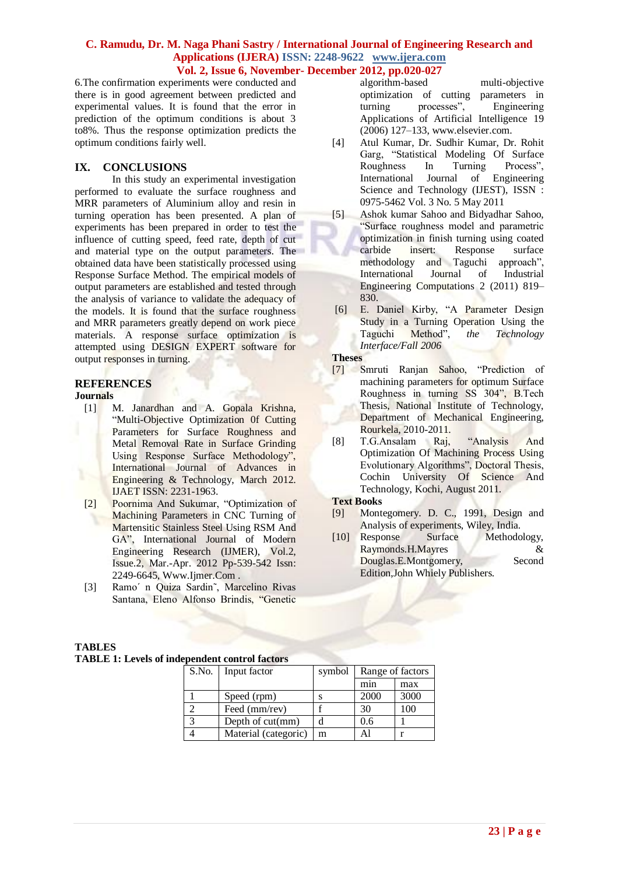6.The confirmation experiments were conducted and there is in good agreement between predicted and experimental values. It is found that the error in prediction of the optimum conditions is about 3 to8%. Thus the response optimization predicts the optimum conditions fairly well.

#### **IX. CONCLUSIONS**

In this study an experimental investigation performed to evaluate the surface roughness and MRR parameters of Aluminium alloy and resin in turning operation has been presented. A plan of experiments has been prepared in order to test the influence of cutting speed, feed rate, depth of cut and material type on the output parameters. The obtained data have been statistically processed using Response Surface Method. The empirical models of output parameters are established and tested through the analysis of variance to validate the adequacy of the models. It is found that the surface roughness and MRR parameters greatly depend on work piece materials. A response surface optimization is attempted using DESIGN EXPERT software for output responses in turning.

#### **REFERENCES**

#### **Journals**

- [1] M. Janardhan and A. Gopala Krishna, "Multi-Objective Optimization 0f Cutting Parameters for Surface Roughness and Metal Removal Rate in Surface Grinding Using Response Surface Methodology", International Journal of Advances in Engineering & Technology, March 2012. IJAET ISSN: 2231-1963.
- [2] Poornima And Sukumar, "Optimization of Machining Parameters in CNC Turning of Martensitic Stainless Steel Using RSM And GA", International Journal of Modern Engineering Research (IJMER), Vol.2, Issue.2, Mar.-Apr. 2012 Pp-539-542 Issn: 2249-6645, Www.Ijmer.Com .
- [3] Ramo´ n Quiza Sardin˜, Marcelino Rivas Santana, Eleno Alfonso Brindis, "Genetic

algorithm-based multi-objective optimization of cutting parameters in turning processes", Engineering Applications of Artificial Intelligence 19 (2006) 127–133, www.elsevier.com.

- [4] Atul Kumar, Dr. Sudhir Kumar, Dr. Rohit Garg, "Statistical Modeling Of Surface Roughness In Turning Process", International Journal of Engineering Science and Technology (IJEST), ISSN : 0975-5462 Vol. 3 No. 5 May 2011
- [5] Ashok kumar Sahoo and Bidyadhar Sahoo, "Surface roughness model and parametric optimization in finish turning using coated carbide insert: Response surface methodology and Taguchi approach", International Journal of Industrial Engineering Computations 2 (2011) 819– 830.
- [6] E. Daniel Kirby, "A Parameter Design Study in a Turning Operation Using the<br>Taguchi Method", the Technology Taguchi Method", *the Technology Interface/Fall 2006*

#### **Theses**

- [7] Smruti Ranjan Sahoo, "Prediction of machining parameters for optimum Surface Roughness in turning SS 304", B.Tech Thesis, National Institute of Technology, Department of Mechanical Engineering, Rourkela, 2010-2011.
- [8] T.G.Ansalam Raj, "Analysis And Optimization Of Machining Process Using Evolutionary Algorithms", Doctoral Thesis, Cochin University Of Science And Technology, Kochi, August 2011.

#### **Text Books**

- [9] Montegomery. D. C., 1991, Design and Analysis of experiments, Wiley, India.
- [10] Response Surface Methodology, Raymonds.H.Mayres & Douglas.E.Montgomery, Second Edition,John Whiely Publishers.

#### **TABLES**

#### **TABLE 1: Levels of independent control factors**

|              | S.No. Input factor   | symbol | Range of factors |      |  |
|--------------|----------------------|--------|------------------|------|--|
|              |                      |        | min              | max  |  |
|              | Speed (rpm)          |        | 2000             | 3000 |  |
|              | Feed (mm/rev)        |        | 30               | 100  |  |
| $\mathbf{z}$ | Depth of $cut(mm)$   |        | 0.6              |      |  |
|              | Material (categoric) | m      |                  |      |  |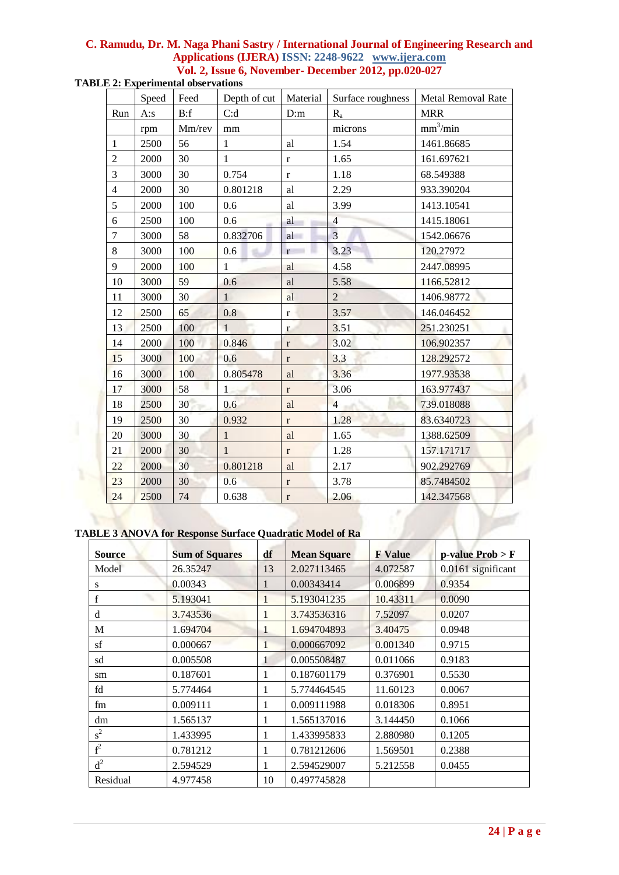| <b>TABLE 2: Experimental observations</b> |  |
|-------------------------------------------|--|
|-------------------------------------------|--|

|                | Speed | Feed   | Depth of cut | Material     | Surface roughness | Metal Removal Rate   |
|----------------|-------|--------|--------------|--------------|-------------------|----------------------|
| Run            | A:s   | B: f   | C:d          | D:m          | $R_{a}$           | <b>MRR</b>           |
|                | rpm   | Mm/rev | mm           |              | microns           | mm <sup>3</sup> /min |
| $\mathbf{1}$   | 2500  | 56     | $\mathbf{1}$ | al           | 1.54              | 1461.86685           |
| $\overline{2}$ | 2000  | 30     | $\mathbf{1}$ | $\mathbf{r}$ | 1.65              | 161.697621           |
| 3              | 3000  | 30     | 0.754        | $\mathbf{r}$ | 1.18              | 68.549388            |
| $\overline{4}$ | 2000  | 30     | 0.801218     | al           | 2.29              | 933.390204           |
| 5              | 2000  | 100    | 0.6          | al           | 3.99              | 1413.10541           |
| 6              | 2500  | 100    | 0.6          | al           | $\overline{4}$    | 1415.18061           |
| $\overline{7}$ | 3000  | 58     | 0.832706     | al           | $\overline{3}$    | 1542.06676           |
| $8\,$          | 3000  | 100    | 0.6          | r            | 3.23              | 120.27972            |
| 9              | 2000  | 100    | $\mathbf{1}$ | al           | 4.58              | 2447.08995           |
| 10             | 3000  | 59     | 0.6          | al           | 5.58              | 1166.52812           |
| 11             | 3000  | 30     | $\mathbf{1}$ | al           | $\overline{2}$    | 1406.98772           |
| 12             | 2500  | 65     | 0.8          | $\mathbf{r}$ | 3.57              | 146.046452           |
| 13             | 2500  | 100    | $\mathbf{1}$ | $\mathbf{r}$ | 3.51              | 251.230251           |
| 14             | 2000  | 100    | 0.846        | $\mathbf r$  | 3.02              | 106.902357           |
| 15             | 3000  | 100    | 0.6          | $\mathbf{r}$ | 3.3               | 128.292572           |
| 16             | 3000  | 100    | 0.805478     | al           | 3.36              | 1977.93538           |
| 17             | 3000  | 58     | 1            | $\mathbf{r}$ | 3.06              | 163.977437           |
| 18             | 2500  | 30     | 0.6          | al           | $\overline{4}$    | 739.018088           |
| 19             | 2500  | 30     | 0.932        | $\mathbf{r}$ | 1.28              | 83.6340723           |
| 20             | 3000  | 30     | $\mathbf{1}$ | al           | 1.65              | 1388.62509           |
| 21             | 2000  | 30     | $\mathbf{1}$ | $\bf r$      | 1.28              | 157.171717           |
| 22             | 2000  | 30     | 0.801218     | al           | 2.17              | 902.292769           |
| 23             | 2000  | 30     | 0.6          | $\bf r$      | 3.78              | 85.7484502           |
| 24             | 2500  | 74     | 0.638        | $\bf r$      | 2.06              | 142.347568           |

## **TABLE 3 ANOVA for Response Surface Quadratic Model of Ra**

| <b>Source</b>  | <b>Sum of Squares</b> | df       | <b>Mean Square</b> | <b>F</b> Value | $p$ -value Prob > F |
|----------------|-----------------------|----------|--------------------|----------------|---------------------|
| Model          | 26.35247              | 13       | 2.027113465        | 4.072587       | 0.0161 significant  |
| S              | 0.00343               |          | 0.00343414         | 0.006899       | 0.9354              |
| $\mathbf f$    | 5.193041              | 1        | 5.193041235        | 10.43311       | 0.0090              |
| d              | 3.743536              | 1        | 3.743536316        | 7.52097        | 0.0207              |
| M              | 1.694704              |          | 1.694704893        | 3.40475        | 0.0948              |
| sf             | 0.000667              | $\bf{l}$ | 0.000667092        | 0.001340       | 0.9715              |
| sd             | 0.005508              | 1        | 0.005508487        | 0.011066       | 0.9183              |
| sm             | 0.187601              | 1        | 0.187601179        | 0.376901       | 0.5530              |
| fd             | 5.774464              |          | 5.774464545        | 11.60123       | 0.0067              |
| fm             | 0.009111              | 1        | 0.009111988        | 0.018306       | 0.8951              |
| dm             | 1.565137              | 1        | 1.565137016        | 3.144450       | 0.1066              |
| $s^2$          | 1.433995              | 1        | 1.433995833        | 2.880980       | 0.1205              |
| $\mathrm{f}^2$ | 0.781212              | 1        | 0.781212606        | 1.569501       | 0.2388              |
| $d^2$          | 2.594529              | 1        | 2.594529007        | 5.212558       | 0.0455              |
| Residual       | 4.977458              | 10       | 0.497745828        |                |                     |

ś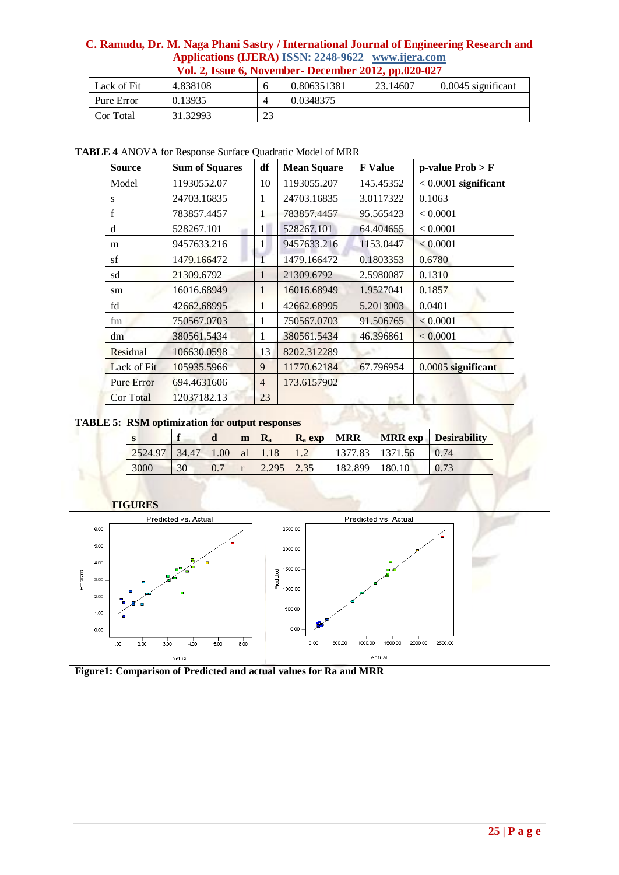|             |          |    |             | .        |                      |
|-------------|----------|----|-------------|----------|----------------------|
| Lack of Fit | 4.838108 |    | 0.806351381 | 23.14607 | $0.0045$ significant |
| Pure Error  | 0.13935  |    | 0.0348375   |          |                      |
| Cor Total   | 31.32993 | 23 |             |          |                      |

**TABLE 4** ANOVA for Response Surface Quadratic Model of MRR

| <b>Source</b>     | <b>Sum of Squares</b> | df             | <b>Mean Square</b> | <b>F</b> Value | $p$ -value $Prob > F$  |
|-------------------|-----------------------|----------------|--------------------|----------------|------------------------|
| Model             | 11930552.07           | 10             | 1193055.207        | 145.45352      | $< 0.0001$ significant |
| S                 | 24703.16835           | 1              | 24703.16835        | 3.0117322      | 0.1063                 |
| $\mathbf f$       | 783857.4457           | 1              | 783857.4457        | 95.565423      | < 0.0001               |
| d                 | 528267.101            | 1              | 528267.101         | 64.404655      | < 0.0001               |
| m                 | 9457633.216           | 1              | 9457633.216        | 1153.0447      | < 0.0001               |
| sf                | 1479.166472           |                | 1479.166472        | 0.1803353      | 0.6780                 |
| sd                | 21309.6792            | 1              | 21309.6792         | 2.5980087      | 0.1310                 |
| sm                | 16016.68949           | 1              | 16016.68949        | 1.9527041      | 0.1857                 |
| fd                | 42662.68995           | 1              | 42662.68995        | 5.2013003      | 0.0401                 |
| fm                | 750567.0703           | 1              | 750567.0703        | 91.506765      | < 0.0001               |
| dm                | 380561.5434           | 1              | 380561.5434        | 46.396861      | < 0.0001               |
| Residual          | 106630.0598           | 13             | 8202.312289        |                |                        |
| Lack of Fit       | 105935.5966           | 9              | 11770.62184        | 67.796954      | 0.0005 significant     |
| <b>Pure Error</b> | 694.4631606           | $\overline{4}$ | 173.6157902        |                |                        |
| Cor Total         | 12037182.13           | 23             |                    |                |                        |

**TABLE 5: RSM optimization for output responses**

xv

| - 33    |       | d    | m  | $\mathbf{R}_{\bullet}$ | $R_a$ exp | <b>MRR</b> |         | <b>MRR</b> exp Desirability |
|---------|-------|------|----|------------------------|-----------|------------|---------|-----------------------------|
| 2524.97 | 34.47 | 1.00 | al |                        |           | 1377.83    | 1371.56 | 0.74                        |
| 3000    | 30    | 0.7  |    | 2.295                  | 2.35      | 182.899    | 180.10  |                             |



**Figure1: Comparison of Predicted and actual values for Ra and MRR**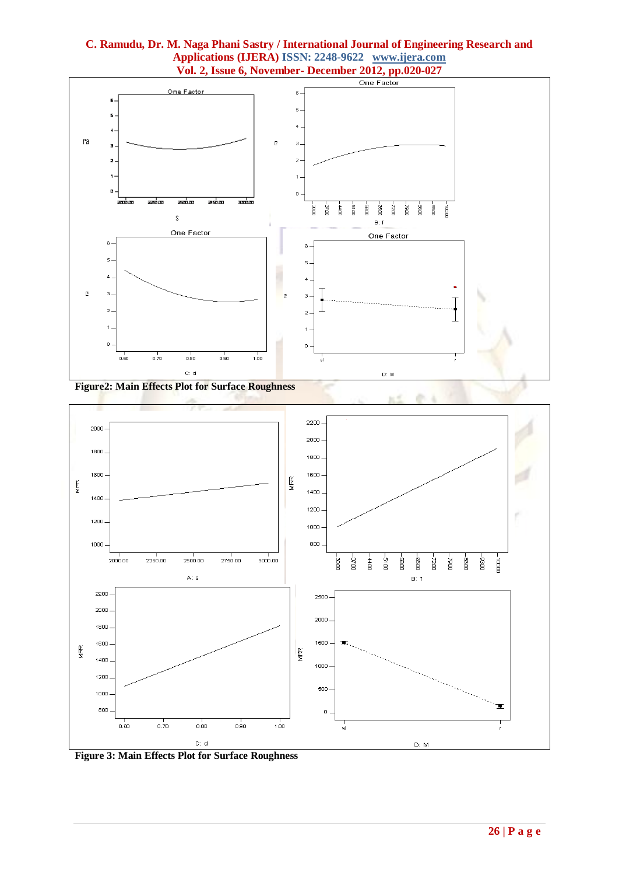

**ALC** 





**Figure 3: Main Effects Plot for Surface Roughness**